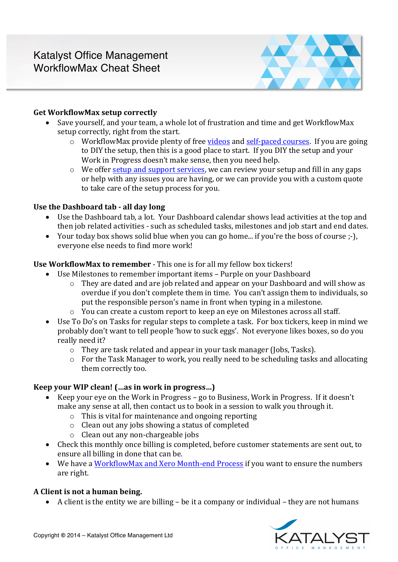

## **Get WorkflowMax setup correctly**

- Save yourself, and your team, a whole lot of frustration and time and get WorkflowMax setup correctly, right from the start.
	- o WorkflowMax provide plenty of free videos and self-paced courses. If you are going to DIY the setup, then this is a good place to start. If you DIY the setup and your Work in Progress doesn't make sense, then you need help.
	- o We offer setup and support services, we can review your setup and fill in any gaps or help with any issues you are having, or we can provide you with a custom quote to take care of the setup process for you.

## Use the Dashboard tab - all day long

- Use the Dashboard tab, a lot. Your Dashboard calendar shows lead activities at the top and then job related activities - such as scheduled tasks, milestones and job start and end dates.
- Your today box shows solid blue when you can go home... if you're the boss of course  $;$ -), everyone else needs to find more work!

## **Use WorkflowMax to remember** - This one is for all my fellow box tickers!

- Use Milestones to remember important items Purple on your Dashboard
	- $\circ$  They are dated and are job related and appear on your Dashboard and will show as overdue if you don't complete them in time. You can't assign them to individuals, so put the responsible person's name in front when typing in a milestone.
	- $\circ$  You can create a custom report to keep an eye on Milestones across all staff.
- Use To Do's on Tasks for regular steps to complete a task. For box tickers, keep in mind we probably don't want to tell people 'how to suck eggs'. Not everyone likes boxes, so do you really need it?
	- $\circ$  They are task related and appear in your task manager (Jobs, Tasks).
	- o For the Task Manager to work, you really need to be scheduling tasks and allocating them correctly too.

# **Keep your WIP clean!** (…as in work in progress...)

- Keep your eye on the Work in Progress go to Business, Work in Progress. If it doesn't make any sense at all, then contact us to book in a session to walk you through it.
	- $\circ$  This is vital for maintenance and ongoing reporting
	- $\circ$  Clean out any jobs showing a status of completed
	- $\circ$  Clean out any non-chargeable jobs
- Check this monthly once billing is completed, before customer statements are sent out, to ensure all billing in done that can be.
- We have a WorkflowMax and Xero Month-end Process if you want to ensure the numbers are right.

# A Client is not a human being.

• A client is the entity we are billing - be it a company or individual - they are not humans